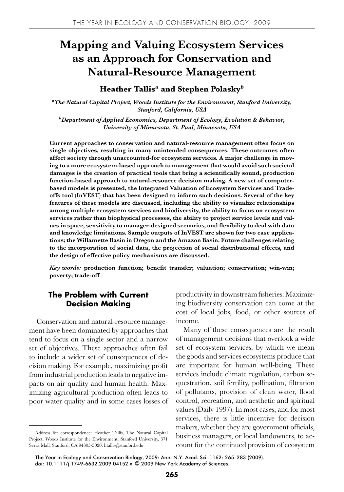# **Mapping and Valuing Ecosystem Services as an Approach for Conservation and Natural-Resource Management**

### **Heather Tallis***<sup>a</sup>* **and Stephen Polasky***<sup>b</sup>*

*aThe Natural Capital Project, Woods Institute for the Environment, Stanford University, Stanford, California, USA*

*bDepartment of Applied Economics, Department of Ecology, Evolution & Behavior, University of Minnesota, St. Paul, Minnesota, USA*

**Current approaches to conservation and natural-resource management often focus on single objectives, resulting in many unintended consequences. These outcomes often affect society through unaccounted-for ecosystem services. A major challenge in moving to a more ecosystem-based approach to management that would avoid such societal damages is the creation of practical tools that bring a scientifically sound, production function-based approach to natural-resource decision making. A new set of computerbased models is presented, the Integrated Valuation of Ecosystem Services and Tradeoffs tool (InVEST) that has been designed to inform such decisions. Several of the key features of these models are discussed, including the ability to visualize relationships among multiple ecosystem services and biodiversity, the ability to focus on ecosystem services rather than biophysical processes, the ability to project service levels and values in space, sensitivity to manager-designed scenarios, and flexibility to deal with data and knowledge limitations. Sample outputs of InVEST are shown for two case applications; the Willamette Basin in Oregon and the Amazon Basin. Future challenges relating to the incorporation of social data, the projection of social distributional effects, and the design of effective policy mechanisms are discussed.**

*Key words:* **production function; benefit transfer; valuation; conservation; win-win; poverty; trade-off**

# **The Problem with Current Decision Making**

Conservation and natural-resource management have been dominated by approaches that tend to focus on a single sector and a narrow set of objectives. These approaches often fail to include a wider set of consequences of decision making. For example, maximizing profit from industrial production leads to negative impacts on air quality and human health. Maximizing agricultural production often leads to poor water quality and in some cases losses of productivity in downstream fisheries. Maximizing biodiversity conservation can come at the cost of local jobs, food, or other sources of income.

Many of these consequences are the result of management decisions that overlook a wide set of ecosystem services, by which we mean the goods and services ecosystems produce that are important for human well-being. These services include climate regulation, carbon sequestration, soil fertility, pollination, filtration of pollutants, provision of clean water, flood control, recreation, and aesthetic and spiritual values (Daily 1997). In most cases, and for most services, there is little incentive for decision makers, whether they are government officials, business managers, or local landowners, to account for the continued provision of ecosystem

Address for correspondence: Heather Tallis, The Natural Capital Project, Woods Institute for the Environment, Stanford University, 371 Serra Mall, Stanford, CA 94305-5020. htallis@stanford.edu

The Year in Ecology and Conservation Biology, 2009: Ann. N.Y. Acad. Sci. 1162: 265–283 (2009). doi: 10.1111/j.1749-6632.2009.04152.x © 2009 New York Academy of Sciences.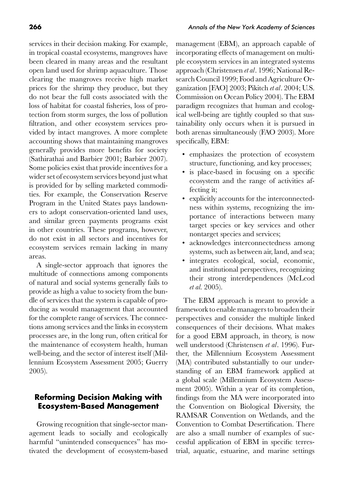services in their decision making. For example, in tropical coastal ecosystems, mangroves have been cleared in many areas and the resultant open land used for shrimp aquaculture. Those clearing the mangroves receive high market prices for the shrimp they produce, but they do not bear the full costs associated with the loss of habitat for coastal fisheries, loss of protection from storm surges, the loss of pollution filtration, and other ecosystem services provided by intact mangroves. A more complete accounting shows that maintaining mangroves generally provides more benefits for society (Sathirathai and Barbier 2001; Barbier 2007). Some policies exist that provide incentives for a wider set of ecosystem services beyond just what is provided for by selling marketed commodities. For example, the Conservation Reserve Program in the United States pays landowners to adopt conservation-oriented land uses, and similar green payments programs exist in other countries. These programs, however, do not exist in all sectors and incentives for ecosystem services remain lacking in many areas.

A single-sector approach that ignores the multitude of connections among components of natural and social systems generally fails to provide as high a value to society from the bundle of services that the system is capable of producing as would management that accounted for the complete range of services. The connections among services and the links in ecosystem processes are, in the long run, often critical for the maintenance of ecosystem health, human well-being, and the sector of interest itself (Millennium Ecosystem Assessment 2005; Guerry 2005).

# **Reforming Decision Making with Ecosystem-Based Management**

Growing recognition that single-sector management leads to socially and ecologically harmful "unintended consequences" has motivated the development of ecosystem-based management (EBM), an approach capable of incorporating effects of management on multiple ecosystem services in an integrated systems approach (Christensen *et al*. 1996; National Research Council 1999; Food and Agriculture Organization [FAO] 2003; Pikitch *et al*. 2004; U.S. Commission on Ocean Policy 2004). The EBM paradigm recognizes that human and ecological well-being are tightly coupled so that sustainability only occurs when it is pursued in both arenas simultaneously (FAO 2003). More specifically, EBM:

- emphasizes the protection of ecosystem structure, functioning, and key processes;
- is place-based in focusing on a specific ecosystem and the range of activities affecting it;
- explicitly accounts for the interconnectedness within systems, recognizing the importance of interactions between many target species or key services and other nontarget species and services;
- acknowledges interconnectedness among systems, such as between air, land, and sea;
- integrates ecological, social, economic, and institutional perspectives, recognizing their strong interdependences (McLeod *et al.* 2005).

The EBM approach is meant to provide a framework to enable managers to broaden their perspectives and consider the multiple linked consequences of their decisions. What makes for a good EBM approach, in theory, is now well understood (Christensen *et al*. 1996). Further, the Millennium Ecosystem Assessment (MA) contributed substantially to our understanding of an EBM framework applied at a global scale (Millennium Ecosystem Assessment 2005). Within a year of its completion, findings from the MA were incorporated into the Convention on Biological Diversity, the RAMSAR Convention on Wetlands, and the Convention to Combat Desertification. There are also a small number of examples of successful application of EBM in specific terrestrial, aquatic, estuarine, and marine settings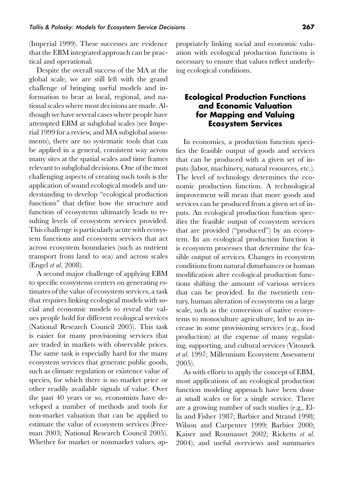(Imperial 1999). These successes are evidence that the EBM integrated approach can be practical and operational.

Despite the overall success of the MA at the global scale, we are still left with the grand challenge of bringing useful models and information to bear at local, regional, and national scales where most decisions are made. Although we have several cases where people have attempted EBM at subglobal scales (see Imperial 1999 for a review, and MA subglobal assessments), there are no systematic tools that can be applied in a general, consistent way across many sites at the spatial scales and time frames relevant to subglobal decisions. One of the most challenging aspects of creating such tools is the application of sound ecological models and understanding to develop "ecological production functions" that define how the structure and function of ecosystems ultimately leads to resulting levels of ecosystem services provided. This challenge is particularly acute with ecosystem functions and ecosystem services that act across ecosystem boundaries (such as nutrient transport from land to sea) and across scales (Engel *et al.* 2008).

A second major challenge of applying EBM to specific ecosystems centers on generating estimates of the value of ecosystem services, a task that requires linking ecological models with social and economic models to reveal the values people hold for different ecological services (National Research Council 2005). This task is easier for many provisioning services that are traded in markets with observable prices. The same task is especially hard for the many ecosystem services that generate public goods, such as climate regulation or existence value of species, for which there is no market price or other readily available signals of value. Over the past 40 years or so, economists have developed a number of methods and tools for non-market valuation that can be applied to estimate the value of ecosystem services (Freeman 2003; National Research Council 2005). Whether for market or nonmarket values, appropriately linking social and economic valuation with ecological production functions is necessary to ensure that values reflect underlying ecological conditions.

# **Ecological Production Functions and Economic Valuation for Mapping and Valuing Ecosystem Services**

In economics, a production function specifies the feasible output of goods and services that can be produced with a given set of inputs (labor, machinery, natural resources, etc.). The level of technology determines the economic production function. A technological improvement will mean that more goods and services can be produced from a given set of inputs. An ecological production function specifies the feasible output of ecosystem services that are provided ("produced") by an ecosystem. In an ecological production function it is ecosystem processes that determine the feasible output of services. Changes in ecosystem conditions from natural disturbances or human modification alter ecological production functions shifting the amount of various services that can be provided. In the twentieth century, human alteration of ecosystems on a large scale, such as the conversion of native ecosystems to monoculture agriculture, led to an increase in some provisioning services (e.g., food production) at the expense of many regulating, supporting, and cultural services (Vitousek *et al.* 1997; Millennium Ecosystem Assessment 2005).

As with efforts to apply the concept of EBM, most applications of an ecological production function modeling approach have been done at small scales or for a single service. There are a growing number of such studies (e.g., Ellis and Fisher 1987; Barbier and Strand 1998; Wilson and Carpenter 1999; Barbier 2000; Kaiser and Roumasset 2002; Ricketts *et al.* 2004), and useful overviews and summaries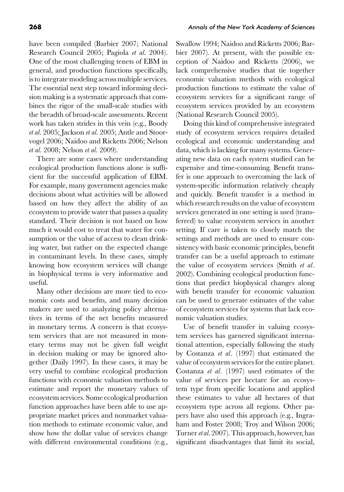have been compiled (Barbier 2007; National Research Council 2005; Pagiola *et al.* 2004). One of the most challenging tenets of EBM in general, and production functions specifically, is to integrate modeling across multiple services. The essential next step toward informing decision making is a systematic approach that combines the rigor of the small-scale studies with the breadth of broad-scale assessments. Recent work has taken strides in this vein (e.g., Boody *et al.* 2005; Jackson *et al.* 2005; Antle and Stoorvogel 2006; Naidoo and Ricketts 2006; Nelson *et al.* 2008; Nelson *et al.* 2009).

There are some cases where understanding ecological production functions alone is sufficient for the successful application of EBM. For example, many government agencies make decisions about what activities will be allowed based on how they affect the ability of an ecosystem to provide water that passes a quality standard. Their decision is not based on how much it would cost to treat that water for consumption or the value of access to clean drinking water, but rather on the expected change in contaminant levels. In these cases, simply knowing how ecosystem services will change in biophysical terms is very informative and useful.

Many other decisions are more tied to economic costs and benefits, and many decision makers are used to analyzing policy alternatives in terms of the net benefits measured in monetary terms. A concern is that ecosystem services that are not measured in monetary terms may not be given full weight in decision making or may be ignored altogether (Daily 1997). In these cases, it may be very useful to combine ecological production functions with economic valuation methods to estimate and report the monetary values of ecosystem services. Some ecological production function approaches have been able to use appropriate market prices and nonmarket valuation methods to estimate economic value, and show how the dollar value of services change with different environmental conditions (e.g.,

Swallow 1994; Naidoo and Ricketts 2006; Barbier 2007). At present, with the possible exception of Naidoo and Ricketts (2006), we lack comprehensive studies that tie together economic valuation methods with ecological production functions to estimate the value of ecosystem services for a significant range of ecosystem services provided by an ecosystem (National Research Council 2005).

Doing this kind of comprehensive integrated study of ecosystem services requires detailed ecological and economic understanding and data, which is lacking for many systems. Generating new data on each system studied can be expensive and time-consuming. Benefit transfer is one approach to overcoming the lack of system-specific information relatively cheaply and quickly. Benefit transfer is a method in which research results on the value of ecosystem services generated in one setting is used (transferred) to value ecosystem services in another setting. If care is taken to closely match the settings and methods are used to ensure consistency with basic economic principles, benefit transfer can be a useful approach to estimate the value of ecosystem services (Smith *et al*. 2002). Combining ecological production functions that predict biophysical changes along with benefit transfer for economic valuation can be used to generate estimates of the value of ecosystem services for systems that lack economic valuation studies.

Use of benefit transfer in valuing ecosystem services has garnered significant international attention, especially following the study by Costanza *et al*. (1997) that estimated the value of ecosystem services for the entire planet. Costanza *et al*. (1997) used estimates of the value of services per hectare for an ecosystem type from specific locations and applied these estimates to value all hectares of that ecosystem type across all regions. Other papers have also used this approach (e.g., Ingraham and Foster 2008; Troy and Wilson 2006; Turner*et al.* 2007). This approach, however, has significant disadvantages that limit its social,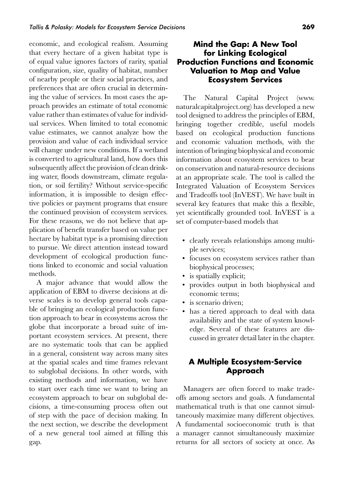economic, and ecological realism. Assuming that every hectare of a given habitat type is of equal value ignores factors of rarity, spatial configuration, size, quality of habitat, number of nearby people or their social practices, and preferences that are often crucial in determining the value of services. In most cases the approach provides an estimate of total economic value rather than estimates of value for individual services. When limited to total economic value estimates, we cannot analyze how the provision and value of each individual service will change under new conditions. If a wetland is converted to agricultural land, how does this subsequently affect the provision of clean drinking water, floods downstream, climate regulation, or soil fertility? Without service-specific information, it is impossible to design effective policies or payment programs that ensure the continued provision of ecosystem services. For these reasons, we do not believe that application of benefit transfer based on value per hectare by habitat type is a promising direction to pursue. We direct attention instead toward development of ecological production functions linked to economic and social valuation methods.

A major advance that would allow the application of EBM to diverse decisions at diverse scales is to develop general tools capable of bringing an ecological production function approach to bear in ecosystems across the globe that incorporate a broad suite of important ecosystem services. At present, there are no systematic tools that can be applied in a general, consistent way across many sites at the spatial scales and time frames relevant to subglobal decisions. In other words, with existing methods and information, we have to start over each time we want to bring an ecosystem approach to bear on subglobal decisions, a time-consuming process often out of step with the pace of decision making. In the next section, we describe the development of a new general tool aimed at filling this gap.

# **Mind the Gap: A New Tool for Linking Ecological Production Functions and Economic Valuation to Map and Value Ecosystem Services**

The Natural Capital Project (www. naturalcapitalproject.org) has developed a new tool designed to address the principles of EBM, bringing together credible, useful models based on ecological production functions and economic valuation methods, with the intention of bringing biophysical and economic information about ecosystem services to bear on conservation and natural-resource decisions at an appropriate scale. The tool is called the Integrated Valuation of Ecosystem Services and Tradeoffs tool (InVEST). We have built in several key features that make this a flexible, yet scientifically grounded tool. InVEST is a set of computer-based models that

- clearly reveals relationships among multiple services;
- focuses on ecosystem services rather than biophysical processes;
- is spatially explicit;
- provides output in both biophysical and economic terms;
- is scenario driven:
- has a tiered approach to deal with data availability and the state of system knowledge. Several of these features are discussed in greater detail later in the chapter.

# **A Multiple Ecosystem-Service Approach**

Managers are often forced to make tradeoffs among sectors and goals. A fundamental mathematical truth is that one cannot simultaneously maximize many different objectives. A fundamental socioeconomic truth is that a manager cannot simultaneously maximize returns for all sectors of society at once. As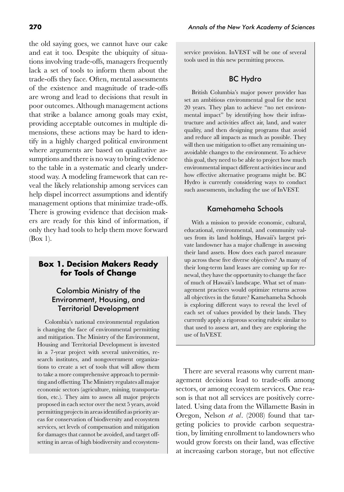the old saying goes, we cannot have our cake and eat it too. Despite the ubiquity of situations involving trade-offs, managers frequently lack a set of tools to inform them about the trade-offs they face. Often, mental assessments of the existence and magnitude of trade-offs are wrong and lead to decisions that result in poor outcomes. Although management actions that strike a balance among goals may exist, providing acceptable outcomes in multiple dimensions, these actions may be hard to identify in a highly charged political environment where arguments are based on qualitative assumptions and there is no way to bring evidence to the table in a systematic and clearly understood way. A modeling framework that can reveal the likely relationship among services can help dispel incorrect assumptions and identify management options that minimize trade-offs. There is growing evidence that decision makers are ready for this kind of information, if only they had tools to help them move forward (Box 1).

# **Box 1. Decision Makers Ready for Tools of Change**

# Colombia Ministry of the Environment, Housing, and Territorial Development

Colombia's national environmental regulation is changing the face of environmental permitting and mitigation. The Ministry of the Environment, Housing and Territorial Development is invested in a 7-year project with several universities, research institutes, and nongovernment organizations to create a set of tools that will allow them to take a more comprehensive approach to permitting and offsetting. TheMinistry regulates all major economic sectors (agriculture, mining, transportation, etc.). They aim to assess all major projects proposed in each sector over the next 5 years, avoid permitting projects in areas identified as priority areas for conservation of biodiversity and ecosystem services, set levels of compensation and mitigation for damages that cannot be avoided, and target offsetting in areas of high biodiversity and ecosystemservice provision. InVEST will be one of several tools used in this new permitting process.

### BC Hydro

British Columbia's major power provider has set an ambitious environmental goal for the next 20 years. They plan to achieve "no net environmental impact" by identifying how their infrastructure and activities affect air, land, and water quality, and then designing programs that avoid and reduce all impacts as much as possible. They will then use mitigation to offset any remaining unavoidable changes to the environment. To achieve this goal, they need to be able to project how much environmental impact different activities incur and how effective alternative programs might be. BC Hydro is currently considering ways to conduct such assessments, including the use of InVEST.

# Kamehameha Schools

With a mission to provide economic, cultural, educational, environmental, and community values from its land holdings, Hawaii's largest private landowner has a major challenge in assessing their land assets. How does each parcel measure up across these five diverse objectives? As many of their long-term land leases are coming up for renewal, they have the opportunity to change the face of much of Hawaii's landscape. What set of management practices would optimize returns across all objectives in the future? Kamehameha Schools is exploring different ways to reveal the level of each set of values provided by their lands. They currently apply a rigorous scoring rubric similar to that used to assess art, and they are exploring the use of InVEST.

There are several reasons why current management decisions lead to trade-offs among sectors, or among ecosystem services. One reason is that not all services are positively correlated. Using data from the Willamette Basin in Oregon, Nelson *et al*. (2008) found that targeting policies to provide carbon sequestration, by limiting enrollment to landowners who would grow forests on their land, was effective at increasing carbon storage, but not effective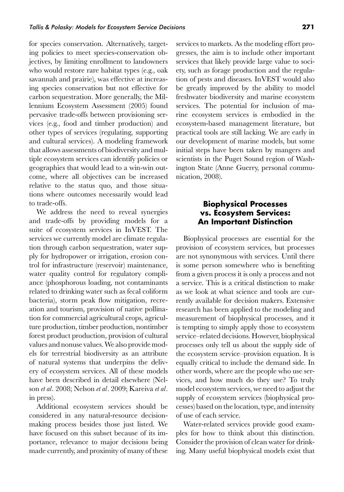for species conservation. Alternatively, targeting policies to meet species-conservation objectives, by limiting enrollment to landowners who would restore rare habitat types (e.g., oak savannah and prairie), was effective at increasing species conservation but not effective for carbon sequestration. More generally, the Millennium Ecosystem Assessment (2005) found pervasive trade-offs between provisioning services (e.g., food and timber production) and other types of services (regulating, supporting and cultural services). A modeling framework that allows assessments of biodiversity and multiple ecosystem services can identify policies or geographies that would lead to a win-win outcome, where all objectives can be increased relative to the status quo, and those situations where outcomes necessarily would lead to trade-offs.

We address the need to reveal synergies and trade-offs by providing models for a suite of ecosystem services in InVEST. The services we currently model are climate regulation through carbon sequestration, water supply for hydropower or irrigation, erosion control for infrastructure (reservoir) maintenance, water quality control for regulatory compliance (phosphorous loading, not contaminants related to drinking water such as fecal coliform bacteria), storm peak flow mitigation, recreation and tourism, provision of native pollination for commercial agricultural crops, agriculture production, timber production, nontimber forest product production, provision of cultural values and nonuse values.We also provide models for terrestrial biodiversity as an attribute of natural systems that underpins the delivery of ecosystem services. All of these models have been described in detail elsewhere (Nelson *et al*. 2008; Nelson *et al*. 2009; Kareiva *et al*. in press).

Additional ecosystem services should be considered in any natural-resource decisionmaking process besides those just listed. We have focused on this subset because of its importance, relevance to major decisions being made currently, and proximity of many of these services to markets. As the modeling effort progresses, the aim is to include other important services that likely provide large value to society, such as forage production and the regulation of pests and diseases. InVEST would also be greatly improved by the ability to model freshwater biodiversity and marine ecosystem services. The potential for inclusion of marine ecosystem services is embodied in the ecosystem-based management literature, but practical tools are still lacking. We are early in our development of marine models, but some initial steps have been taken by mangers and scientists in the Puget Sound region of Washington State (Anne Guerry, personal communication, 2008).

# **Biophysical Processes vs. Ecosystem Services: An Important Distinction**

Biophysical processes are essential for the provision of ecosystem services, but processes are not synonymous with services. Until there is some person somewhere who is benefiting from a given process it is only a process and not a service. This is a critical distinction to make as we look at what science and tools are currently available for decision makers. Extensive research has been applied to the modeling and measurement of biophysical processes, and it is tempting to simply apply those to ecosystem service–related decisions. However, biophysical processes only tell us about the supply side of the ecosystem service–provision equation. It is equally critical to include the demand side. In other words, where are the people who use services, and how much do they use? To truly model ecosystem services, we need to adjust the supply of ecosystem services (biophysical processes) based on the location, type, and intensity of use of each service.

Water-related services provide good examples for how to think about this distinction. Consider the provision of clean water for drinking. Many useful biophysical models exist that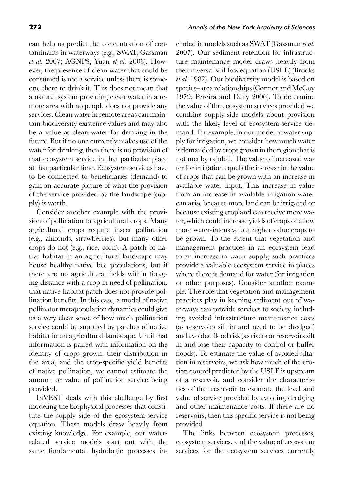can help us predict the concentration of contaminants in waterways (e.g., SWAT, Gassman *et al.* 2007; AGNPS, Yuan *et al.* 2006). However, the presence of clean water that could be consumed is not a service unless there is someone there to drink it. This does not mean that a natural system providing clean water in a remote area with no people does not provide any services. Clean water in remote areas can maintain biodiversity existence values and may also be a value as clean water for drinking in the future. But if no one currently makes use of the water for drinking, then there is no provision of that ecosystem service in that particular place at that particular time. Ecosystem services have to be connected to beneficiaries (demand) to gain an accurate picture of what the provision of the service provided by the landscape (supply) is worth.

Consider another example with the provision of pollination to agricultural crops. Many agricultural crops require insect pollination (e.g., almonds, strawberries), but many other crops do not (e.g., rice, corn). A patch of native habitat in an agricultural landscape may house healthy native bee populations, but if there are no agricultural fields within foraging distance with a crop in need of pollination, that native habitat patch does not provide pollination benefits. In this case, a model of native pollinator metapopulation dynamics could give us a very clear sense of how much pollination service could be supplied by patches of native habitat in an agricultural landscape. Until that information is paired with information on the identity of crops grown, their distribution in the area, and the crop-specific yield benefits of native pollination, we cannot estimate the amount or value of pollination service being provided.

InVEST deals with this challenge by first modeling the biophysical processes that constitute the supply side of the ecosystem-service equation. These models draw heavily from existing knowledge. For example, our waterrelated service models start out with the same fundamental hydrologic processes included in models such as SWAT (Gassman *et al.* 2007). Our sediment retention for infrastructure maintenance model draws heavily from the universal soil-loss equation (USLE) (Brooks *et al.* 1982). Our biodiversity model is based on species–area relationships (Connor and McCoy 1979; Pereira and Daily 2006). To determine the value of the ecosystem services provided we combine supply-side models about provision with the likely level of ecosystem-service demand. For example, in our model of water supply for irrigation, we consider how much water is demanded by crops grown in the region that is not met by rainfall. The value of increased water for irrigation equals the increase in the value of crops that can be grown with an increase in available water input. This increase in value from an increase in available irrigation water can arise because more land can be irrigated or because existing cropland can receive more water, which could increase yields of crops or allow more water-intensive but higher value crops to be grown. To the extent that vegetation and management practices in an ecosystem lead to an increase in water supply, such practices provide a valuable ecosystem service in places where there is demand for water (for irrigation or other purposes). Consider another example. The role that vegetation and management practices play in keeping sediment out of waterways can provide services to society, including avoided infrastructure maintenance costs (as reservoirs silt in and need to be dredged) and avoided flood risk (as rivers or reservoirs silt in and lose their capacity to control or buffer floods). To estimate the value of avoided siltation in reservoirs, we ask how much of the erosion control predicted by the USLE is upstream of a reservoir, and consider the characteristics of that reservoir to estimate the level and value of service provided by avoiding dredging and other maintenance costs. If there are no reservoirs, then this specific service is not being provided.

The links between ecosystem processes, ecosystem services, and the value of ecosystem services for the ecosystem services currently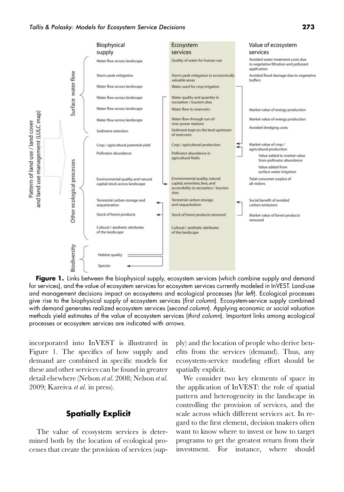#### Tallis & Polasky: Models for Ecosystem Service Decisions **273**



**Figure 1.** Links between the biophysical supply, ecosystem services (which combine supply and demand for services), and the value of ecosystem services for ecosystem services currently modeled in InVEST. Land-use and management decisions impact on ecosystems and ecological processes (far left). Ecological processes give rise to the biophysical supply of ecosystem services (first column). Ecosystem-service supply combined with demand generates realized ecosystem services (second column). Applying economic or social valuation methods yield estimates of the value of ecosystem services (third column). Important links among ecological processes or ecosystem services are indicated with arrows.

incorporated into InVEST is illustrated in Figure 1. The specifics of how supply and demand are combined in specific models for these and other services can be found in greater detail elsewhere (Nelson *et al.* 2008; Nelson *et al.* 2009; Kareiva *et al.* in press).

# **Spatially Explicit**

The value of ecosystem services is determined both by the location of ecological processes that create the provision of services (supply) and the location of people who derive benefits from the services (demand). Thus, any ecosystem-service modeling effort should be spatially explicit.

We consider two key elements of space in the application of InVEST: the role of spatial pattern and heterogeneity in the landscape in controlling the provision of services, and the scale across which different services act. In regard to the first element, decision makers often want to know where to invest or how to target programs to get the greatest return from their investment. For instance, where should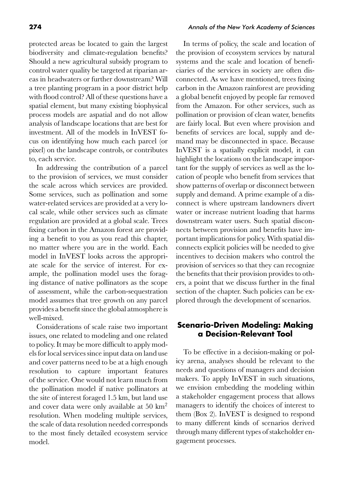protected areas be located to gain the largest biodiversity and climate-regulation benefits? Should a new agricultural subsidy program to control water quality be targeted at riparian areas in headwaters or further downstream? Will a tree planting program in a poor district help with flood control? All of these questions have a spatial element, but many existing biophysical process models are aspatial and do not allow analysis of landscape locations that are best for investment. All of the models in InVEST focus on identifying how much each parcel (or pixel) on the landscape controls, or contributes to, each service.

In addressing the contribution of a parcel to the provision of services, we must consider the scale across which services are provided. Some services, such as pollination and some water-related services are provided at a very local scale, while other services such as climate regulation are provided at a global scale. Trees fixing carbon in the Amazon forest are providing a benefit to you as you read this chapter, no matter where you are in the world. Each model in InVEST looks across the appropriate scale for the service of interest. For example, the pollination model uses the foraging distance of native pollinators as the scope of assessment, while the carbon-sequestration model assumes that tree growth on any parcel provides a benefit since the global atmosphere is well-mixed.

Considerations of scale raise two important issues, one related to modeling and one related to policy. It may be more difficult to apply models for local services since input data on land use and cover patterns need to be at a high enough resolution to capture important features of the service. One would not learn much from the pollination model if native pollinators at the site of interest foraged 1.5 km, but land use and cover data were only available at  $50 \text{ km}^2$ resolution. When modeling multiple services, the scale of data resolution needed corresponds to the most finely detailed ecosystem service model.

In terms of policy, the scale and location of the provision of ecosystem services by natural systems and the scale and location of beneficiaries of the services in society are often disconnected. As we have mentioned, trees fixing carbon in the Amazon rainforest are providing a global benefit enjoyed by people far removed from the Amazon. For other services, such as pollination or provision of clean water, benefits are fairly local. But even where provision and benefits of services are local, supply and demand may be disconnected in space. Because InVEST is a spatially explicit model, it can highlight the locations on the landscape important for the supply of services as well as the location of people who benefit from services that show patterns of overlap or disconnect between supply and demand. A prime example of a disconnect is where upstream landowners divert water or increase nutrient loading that harms downstream water users. Such spatial disconnects between provision and benefits have important implications for policy. With spatial disconnects explicit policies will be needed to give incentives to decision makers who control the provision of services so that they can recognize the benefits that their provision provides to others, a point that we discuss further in the final section of the chapter. Such policies can be explored through the development of scenarios.

# **Scenario-Driven Modeling: Making a Decision-Relevant Tool**

To be effective in a decision-making or policy arena, analyses should be relevant to the needs and questions of managers and decision makers. To apply InVEST in such situations, we envision embedding the modeling within a stakeholder engagement process that allows managers to identify the choices of interest to them (Box 2). InVEST is designed to respond to many different kinds of scenarios derived through many different types of stakeholder engagement processes.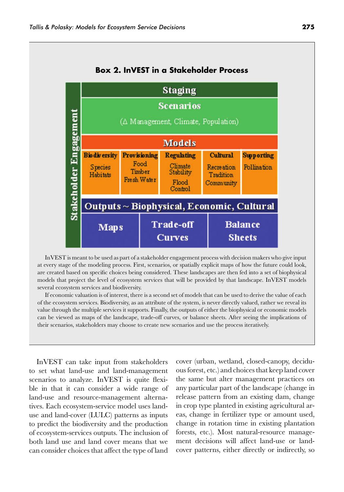

InVEST is meant to be used as part of a stakeholder engagement process with decision makers who give input at every stage of the modeling process. First, scenarios, or spatially explicit maps of how the future could look, are created based on specific choices being considered. These landscapes are then fed into a set of biophysical models that project the level of ecosystem services that will be provided by that landscape. InVEST models several ecosystem services and biodiversity.

If economic valuation is of interest, there is a second set of models that can be used to derive the value of each of the ecosystem services. Biodiversity, as an attribute of the system, is never directly valued, rather we reveal its value through the multiple services it supports. Finally, the outputs of either the biophysical or economic models can be viewed as maps of the landscape, trade-off curves, or balance sheets. After seeing the implications of their scenarios, stakeholders may choose to create new scenarios and use the process iteratively.

InVEST can take input from stakeholders to set what land-use and land-management scenarios to analyze. InVEST is quite flexible in that it can consider a wide range of land-use and resource-management alternatives. Each ecosystem-service model uses landuse and land-cover (LULC) patterns as inputs to predict the biodiversity and the production of ecosystem-services outputs. The inclusion of both land use and land cover means that we can consider choices that affect the type of land

cover (urban, wetland, closed-canopy, deciduous forest, etc.) and choices that keep land cover the same but alter management practices on any particular part of the landscape (change in release pattern from an existing dam, change in crop type planted in existing agricultural areas, change in fertilizer type or amount used, change in rotation time in existing plantation forests, etc.). Most natural-resource management decisions will affect land-use or landcover patterns, either directly or indirectly, so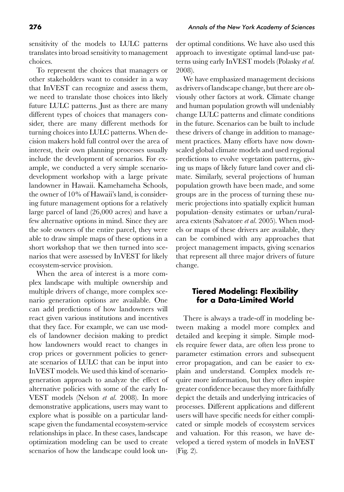sensitivity of the models to LULC patterns translates into broad sensitivity to management choices.

To represent the choices that managers or other stakeholders want to consider in a way that InVEST can recognize and assess them, we need to translate those choices into likely future LULC patterns. Just as there are many different types of choices that managers consider, there are many different methods for turning choices into LULC patterns. When decision makers hold full control over the area of interest, their own planning processes usually include the development of scenarios. For example, we conducted a very simple scenariodevelopment workshop with a large private landowner in Hawaii. Kamehameha Schools, the owner of 10% of Hawaii's land, is considering future management options for a relatively large parcel of land (26,000 acres) and have a few alternative options in mind. Since they are the sole owners of the entire parcel, they were able to draw simple maps of these options in a short workshop that we then turned into scenarios that were assessed by InVEST for likely ecosystem-service provision.

When the area of interest is a more complex landscape with multiple ownership and multiple drivers of change, more complex scenario generation options are available. One can add predictions of how landowners will react given various institutions and incentives that they face. For example, we can use models of landowner decision making to predict how landowners would react to changes in crop prices or government policies to generate scenarios of LULC that can be input into InVEST models. We used this kind of scenariogeneration approach to analyze the effect of alternative policies with some of the early In-VEST models (Nelson *et al.* 2008). In more demonstrative applications, users may want to explore what is possible on a particular landscape given the fundamental ecosystem-service relationships in place. In these cases, landscape optimization modeling can be used to create scenarios of how the landscape could look under optimal conditions. We have also used this approach to investigate optimal land-use patterns using early InVEST models (Polasky *et al.* 2008).

We have emphasized management decisions as drivers of landscape change, but there are obviously other factors at work. Climate change and human population growth will undeniably change LULC patterns and climate conditions in the future. Scenarios can be built to include these drivers of change in addition to management practices. Many efforts have now downscaled global climate models and used regional predictions to evolve vegetation patterns, giving us maps of likely future land cover and climate. Similarly, several projections of human population growth have been made, and some groups are in the process of turning these numeric projections into spatially explicit human population–density estimates or urban/ruralarea extents (Salvatore *et al.* 2005). When models or maps of these drivers are available, they can be combined with any approaches that project management impacts, giving scenarios that represent all three major drivers of future change.

# **Tiered Modeling: Flexibility for a Data-Limited World**

There is always a trade-off in modeling between making a model more complex and detailed and keeping it simple. Simple models require fewer data, are often less prone to parameter estimation errors and subsequent error propagation, and can be easier to explain and understand. Complex models require more information, but they often inspire greater confidence because they more faithfully depict the details and underlying intricacies of processes. Different applications and different users will have specific needs for either complicated or simple models of ecosystem services and valuation. For this reason, we have developed a tiered system of models in InVEST (Fig. 2).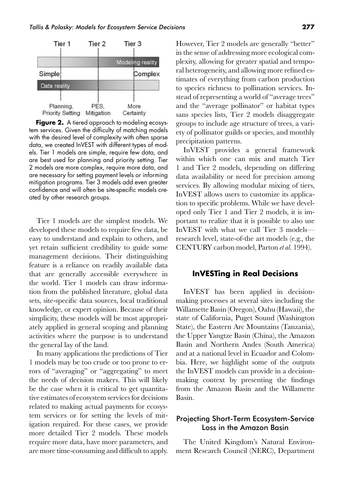

**Figure 2.** A tiered approach to modeling ecosystem services. Given the difficulty of matching models with the desired level of complexity with often sparse data, we created InVEST with different types of models. Tier 1 models are simple, require few data, and are best used for planning and priority setting. Tier 2 models are more complex, require more data, and are necessary for setting payment levels or informing mitigation programs. Tier 3 models add even greater confidence and will often be site-specific models created by other research groups.

Tier 1 models are the simplest models. We developed these models to require few data, be easy to understand and explain to others, and yet retain sufficient credibility to guide some management decisions. Their distinguishing feature is a reliance on readily available data that are generally accessible everywhere in the world. Tier 1 models can draw information from the published literature, global data sets, site-specific data sources, local traditional knowledge, or expert opinion. Because of their simplicity, these models will be most appropriately applied in general scoping and planning activities where the purpose is to understand the general lay of the land.

In many applications the predictions of Tier 1 models may be too crude or too prone to errors of "averaging" or "aggregating" to meet the needs of decision makers. This will likely be the case when it is critical to get quantitative estimates of ecosystem services for decisions related to making actual payments for ecosystem services or for setting the levels of mitigation required. For these cases, we provide more detailed Tier 2 models. These models require more data, have more parameters, and are more time-consuming and difficult to apply. However, Tier 2 models are generally "better" in the sense of addressing more ecological complexity, allowing for greater spatial and temporal heterogeneity, and allowing more refined estimates of everything from carbon production to species richness to pollination services. Instead of representing a world of "average trees" and the "average pollinator" or habitat types sans species lists, Tier 2 models disaggregate groups to include age structure of trees, a variety of pollinator guilds or species, and monthly precipitation patterns.

InVEST provides a general framework within which one can mix and match Tier 1 and Tier 2 models, depending on differing data availability or need for precision among services. By allowing modular mixing of tiers, InVEST allows users to customize its application to specific problems. While we have developed only Tier 1 and Tier 2 models, it is important to realize that it is possible to also use InVEST with what we call Tier 3 models research level, state-of-the art models (e.g., the CENTURY carbon model, Parton *et al.* 1994).

### **InVESTing in Real Decisions**

InVEST has been applied in decisionmaking processes at several sites including the Willamette Basin (Oregon), Oahu (Hawaii), the state of California, Puget Sound (Washington State), the Eastern Arc Mountains (Tanzania), the Upper Yangtze Basin (China), the Amazon Basin and Northern Andes (South America) and at a national level in Ecuador and Colombia. Here, we highlight some of the outputs the InVEST models can provide in a decisionmaking context by presenting the findings from the Amazon Basin and the Willamette Basin.

### Projecting Short-Term Ecosystem-Service Loss in the Amazon Basin

The United Kingdom's Natural Environment Research Council (NERC), Department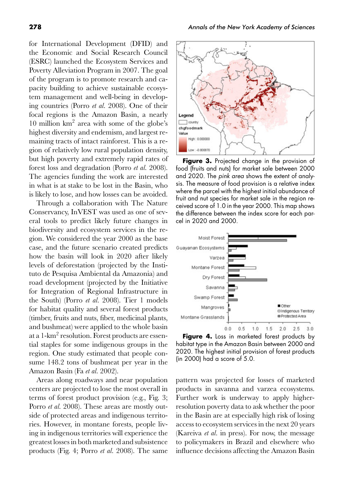for International Development (DFID) and the Economic and Social Research Council (ESRC) launched the Ecosystem Services and Poverty Alleviation Program in 2007. The goal of the program is to promote research and capacity building to achieve sustainable ecosystem management and well-being in developing countries (Porro *et al.* 2008). One of their focal regions is the Amazon Basin, a nearly 10 million km<sup>2</sup> area with some of the globe's highest diversity and endemism, and largest remaining tracts of intact rainforest. This is a region of relatively low rural population density, but high poverty and extremely rapid rates of forest loss and degradation (Porro *et al.* 2008). The agencies funding the work are interested in what is at stake to be lost in the Basin, who is likely to lose, and how losses can be avoided.

Through a collaboration with The Nature Conservancy, InVEST was used as one of several tools to predict likely future changes in biodiversity and ecosystem services in the region. We considered the year 2000 as the base case, and the future scenario created predicts how the basin will look in 2020 after likely levels of deforestation (projected by the Instituto de Pesquisa Ambiental da Amazonia) and road development (projected by the Initiative for Integration of Regional Infrastructure in the South) (Porro *et al.* 2008). Tier 1 models for habitat quality and several forest products (timber, fruits and nuts, fiber, medicinal plants, and bushmeat) were applied to the whole basin at a 1-km<sup>2</sup> resolution. Forest products are essential staples for some indigenous groups in the region. One study estimated that people consume 148.2 tons of bushmeat per year in the Amazon Basin (Fa *et al.* 2002).

Areas along roadways and near population centers are projected to lose the most overall in terms of forest product provision (e.g., Fig. 3; Porro *et al.* 2008). These areas are mostly outside of protected areas and indigenous territories. However, in montane forests, people living in indigenous territories will experience the greatest losses in both marketed and subsistence products (Fig. 4; Porro *et al.* 2008). The same



**Figure 3.** Projected change in the provision of food (fruits and nuts) for market sale between 2000 and 2020. The <sup>p</sup>ink area shows the extent of analysis. The measure of food provision is a relative index where the parcel with the highest initial abundance of fruit and nut species for market sale in the region received score of 1.0 in the year 2000. This map shows the difference between the index score for each parcel in 2020 and 2000.



Figure 4. Loss in marketed forest products by habitat type in the Amazon Basin between 2000 and 2020. The highest initial provision of forest products (in 2000) had a score of 5.0.

pattern was projected for losses of marketed products in savanna and varzea ecosystems. Further work is underway to apply higherresolution poverty data to ask whether the poor in the Basin are at especially high risk of losing access to ecosystem services in the next 20 years (Kareiva *et al.* in press). For now, the message to policymakers in Brazil and elsewhere who influence decisions affecting the Amazon Basin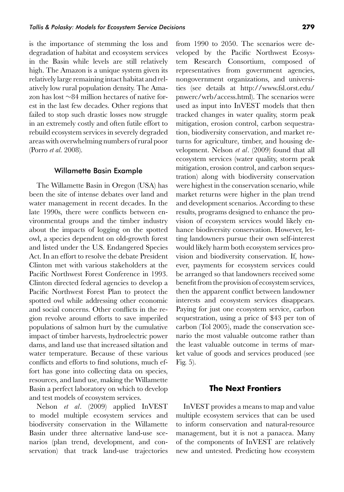is the importance of stemming the loss and degradation of habitat and ecosystem services in the Basin while levels are still relatively high. The Amazon is a unique system given its relatively large remaining intact habitat and relatively low rural population density. The Amazon has lost ∼84 million hectares of native forest in the last few decades. Other regions that failed to stop such drastic losses now struggle in an extremely costly and often futile effort to rebuild ecosystem services in severely degraded areas with overwhelming numbers of rural poor (Porro *et al.* 2008).

#### Willamette Basin Example

The Willamette Basin in Oregon (USA) has been the site of intense debates over land and water management in recent decades. In the late 1990s, there were conflicts between environmental groups and the timber industry about the impacts of logging on the spotted owl, a species dependent on old-growth forest and listed under the U.S. Endangered Species Act. In an effort to resolve the debate President Clinton met with various stakeholders at the Pacific Northwest Forest Conference in 1993. Clinton directed federal agencies to develop a Pacific Northwest Forest Plan to protect the spotted owl while addressing other economic and social concerns. Other conflicts in the region revolve around efforts to save imperiled populations of salmon hurt by the cumulative impact of timber harvests, hydroelectric power dams, and land use that increased siltation and water temperature. Because of these various conflicts and efforts to find solutions, much effort has gone into collecting data on species, resources, and land use, making the Willamette Basin a perfect laboratory on which to develop and test models of ecosystem services.

Nelson *et al*. (2009) applied InVEST to model multiple ecosystem services and biodiversity conservation in the Willamette Basin under three alternative land-use scenarios (plan trend, development, and conservation) that track land-use trajectories from 1990 to 2050. The scenarios were developed by the Pacific Northwest Ecosystem Research Consortium, composed of representatives from government agencies, nongovernment organizations, and universities (see details at http://www.fsl.orst.edu/ pnwerc/wrb/access.html). The scenarios were used as input into InVEST models that then tracked changes in water quality, storm peak mitigation, erosion control, carbon sequestration, biodiversity conservation, and market returns for agriculture, timber, and housing development. Nelson *et al*. (2009) found that all ecosystem services (water quality, storm peak mitigation, erosion control, and carbon sequestration) along with biodiversity conservation were highest in the conservation scenario, while market returns were higher in the plan trend and development scenarios. According to these results, programs designed to enhance the provision of ecosystem services would likely enhance biodiversity conservation. However, letting landowners pursue their own self-interest would likely harm both ecosystem services provision and biodiversity conservation. If, however, payments for ecosystem services could be arranged so that landowners received some benefit from the provision of ecosystem services, then the apparent conflict between landowner interests and ecosystem services disappears. Paying for just one ecosystem service, carbon sequestration, using a price of \$43 per ton of carbon (Tol 2005), made the conservation scenario the most valuable outcome rather than the least valuable outcome in terms of market value of goods and services produced (see Fig. 5).

# **The Next Frontiers**

InVEST provides a means to map and value multiple ecosystem services that can be used to inform conservation and natural-resource management, but it is not a panacea. Many of the components of InVEST are relatively new and untested. Predicting how ecosystem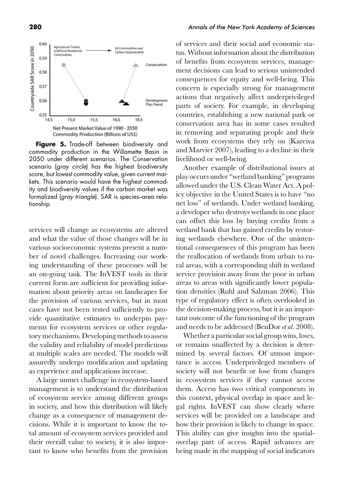

**Figure 5.** Trade-off between biodiversity and commodity production in the Willamette Basin in 2050 under different scenarios. The Conservation scenario (gray circle) has the highest biodiversity score, but lowest commodity value, given current markets. This scenario would have the highest commodity and biodiversity values if the carbon market was formalized (gray triangle). SAR is species–area relationship.

services will change as ecosystems are altered and what the value of those changes will be in various socioeconomic systems present a number of novel challenges. Increasing our working understanding of these processes will be an on-going task. The InVEST tools in their current form are sufficient for providing information about priority areas on landscapes for the provision of various services, but in most cases have not been tested sufficiently to provide quantitative estimates to underpin payments for ecosystem services or other regulatory mechanisms. Developing methods to assess the validity and reliability of model predictions at multiple scales are needed. The models will assuredly undergo modification and updating as experience and applications increase.

A large unmet challenge in ecosystem-based management is to understand the distribution of ecosystem service among different groups in society, and how this distribution will likely change as a consequence of management decisions. While it is important to know the total amount of ecosystem services provided and their overall value to society, it is also important to know who benefits from the provision of services and their social and economic status. Without information about the distribution of benefits from ecosystem services, management decisions can lead to serious unintended consequences for equity and well-being. This concern is especially strong for management actions that negatively affect underprivileged parts of society. For example, in developing countries, establishing a new national park or conservation area has in some cases resulted in removing and separating people and their work from ecosystems they rely on (Kareiva and Marvier 2007), leading to a decline in their livelihood or well-being.

Another example of distributional issues at play occurs under "wetland banking" programs allowed under the U.S. Clean Water Act. A policy objective in the United States is to have "no net loss" of wetlands. Under wetland banking, a developer who destroys wetlands in one place can offset this loss by buying credits from a wetland bank that has gained credits by restoring wetlands elsewhere. One of the unintentional consequences of this program has been the reallocation of wetlands from urban to rural areas, with a corresponding shift in wetland service provision away from the poor in urban areas to areas with significantly lower population densities (Ruhl and Salzman 2006). This type of regulatory effect is often overlooked in the decision-making process, but it is an important outcome of the functioning of the program and needs to be addressed (BenDor *et al.* 2008).

Whether a particular social group wins, loses, or remains unaffected by a decision is determined by several factors. Of utmost importance is access. Underprivileged members of society will not benefit or lose from changes in ecosystem services if they cannot access them. Access has two critical components in this context, physical overlap in space and legal rights. InVEST can show clearly where services will be provided on a landscape and how their provision is likely to change in space. This ability can give insights into the spatialoverlap part of access. Rapid advances are being made in the mapping of social indicators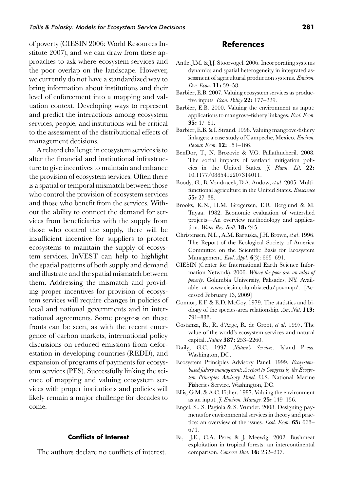of poverty (CIESIN 2006; World Resources Institute 2007), and we can draw from these approaches to ask where ecosystem services and the poor overlap on the landscape. However, we currently do not have a standardized way to bring information about institutions and their level of enforcement into a mapping and valuation context. Developing ways to represent and predict the interactions among ecosystem services, people, and institutions will be critical to the assessment of the distributional effects of management decisions.

A related challenge in ecosystem services is to alter the financial and institutional infrastructure to give incentives to maintain and enhance the provision of ecosystem services. Often there is a spatial or temporal mismatch between those who control the provision of ecosystem services and those who benefit from the services. Without the ability to connect the demand for services from beneficiaries with the supply from those who control the supply, there will be insufficient incentive for suppliers to protect ecosystems to maintain the supply of ecosystem services. InVEST can help to highlight the spatial patterns of both supply and demand and illustrate and the spatial mismatch between them. Addressing the mismatch and providing proper incentives for provision of ecosystem services will require changes in policies of local and national governments and in international agreements. Some progress on these fronts can be seen, as with the recent emergence of carbon markets, international policy discussions on reduced emissions from deforestation in developing countries (REDD), and expansion of programs of payments for ecosystem services (PES). Successfully linking the science of mapping and valuing ecosystem services with proper institutions and policies will likely remain a major challenge for decades to come.

#### **Conflicts of Interest**

The authors declare no conflicts of interest.

### **References**

- Antle, J.M. & J.J. Stoorvogel. 2006. Incorporating systems dynamics and spatial heterogeneity in integrated assessment of agricultural production systems. *Environ. Dev. Econ.* **11:** 39–58.
- Barbier, E.B. 2007. Valuing ecosystem services as productive inputs. *Econ. Policy* **22:** 177–229.
- Barbier, E.B. 2000. Valuing the environment as input: applications to mangrove-fishery linkages. *Ecol. Econ.* **35:** 47–61.
- Barbier, E.B. & I. Strand. 1998. Valuing mangrove-fishery linkages: a case study of Campeche, Mexico. *Environ. Resour. Econ.* **12:** 151–166.
- BenDor, T., N. Brozovic & V.G. Pallathucheril. 2008. The social impacts of wetland mitigation policies in the United States. *J. Plann. Lit.* **22:** 10.1177/0885412207314011.
- Boody, G., B. Vondracek, D.A. Andow, *et al*. 2005. Multifunctional agriculture in the United States. *Bioscience* **55:** 27–38.
- Brooks, K.N., H.M. Gregersen, E.R. Berglund & M. Tayaa. 1982. Economic evaluation of watershed projects—An overview methodology and application. *Water Res. Bull.* **18:** 245.
- Christensen, N.L., A.M. Bartuska, J.H. Brown, *et al*. 1996. The Report of the Ecological Society of America Committee on the Scientific Basis for Ecosystem Management. *Ecol. Appl*. **6**(3): 665–691.
- CIESIN (Center for International Earth Science Information Network). 2006. *Where the poor are: an atlas of poverty*. Columbia University, Palisades, NY. Available at www.ciesin.columbia.edu/povmap/. [Accessed February 13, 2009]
- Connor, E.F. & E.D. McCoy. 1979. The statistics and biology of the species-area relationship. *Am. Nat.* **113:** 791–833.
- Costanza, R., R. d'Arge, R. de Groot, *et al*. 1997. The value of the world's ecosystem services and natural capital. *Nature* **387:** 253–2260.
- Daily, G.C. 1997. *Nature's Services*. Island Press. Washington, DC.
- Ecosystem Principles Advisory Panel. 1999. *Ecosystembased fishery management: A report to Congress by the Ecosystem Principles Advisory Panel.* U.S. National Marine Fisheries Service. Washington, DC.
- Ellis, G.M. & A.C. Fisher. 1987. Valuing the environment as an input. *J. Environ. Manage.* **25:** 149–156.
- Engel, S., S. Pagiola & S. Wunder. 2008. Designing payments for environmental services in theory and practice: an overview of the issues. *Ecol. Econ.* **65:** 663– 674.
- Fa, J.E., C.A. Peres & J. Meewig. 2002. Bushmeat exploitation in tropical forests: an intercontinental comparison. *Conserv. Biol.* **16:** 232–237.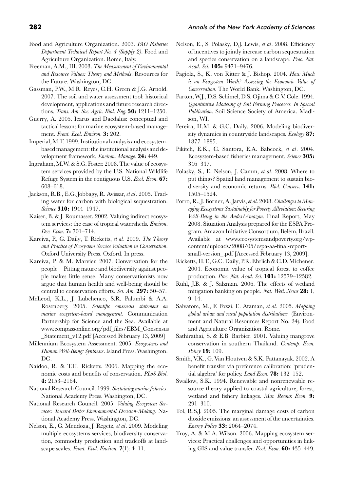- Food and Agriculture Organization. 2003. *FAO Fisheries Department Technical Report No. 4 (Supply 2)*. Food and Agriculture Organization. Rome, Italy.
- Freeman, A.M., III. 2003. *The Measurement of Environmental and Resource Values: Theory and Methods*. Resources for the Future. Washington, DC.
- Gassman, P.W., M.R. Reyes, C.H. Green & J.G. Arnold. 2007. The soil and water assessment tool: historical development, applications and future research directions. *Trans. Am. Soc. Agric. Biol. Eng.* **50:** 1211–1250.
- Guerry, A. 2005. Icarus and Daedalus: conceptual and tactical lessons for marine ecosystem-based management. *Front. Ecol. Environ.* **3:** 202.
- Imperial, M.T. 1999. Institutional analysis and ecosystembased management: the institutional analysis and development framework. *Environ. Manage.* **24:** 449.
- Ingraham, M.W. & S.G. Foster. 2008. The value of ecosystem services provided by the U.S. National Wildlife Refuge System in the contiguous U.S. *Ecol. Econ.* **67:** 608–618.
- Jackson, R.B., E.G. Jobbagy, R. Avissar, *et al*. 2005. Trading water for carbon with biological sequestration. *Science* **310:** 1944–1947.
- Kaiser, B. & J. Roumasset. 2002. Valuing indirect ecosystem services: the case of tropical watersheds. *Environ. Dev. Econ.* **7:** 701–714.
- Kareiva, P., G. Daily, T. Ricketts, *et al*. 2009. *The Theory and Practice of Ecosystem Service Valuation in Conservation*. Oxford University Press. Oxford. In press.
- Kareiva, P. & M. Marvier. 2007. Conversation for the people—Pitting nature and biodiversity against people makes little sense. Many conservationists now argue that human health and well-being should be central to conservation efforts. *Sci. Am.* **297:** 50–57.
- McLeod, K.L., J. Lubchenco, S.R. Palumbi & A.A. Rosenberg. 2005. *Scientific consensus statement on marine ecosystem-based management*. Communication Partnership for Science and the Sea. Available at www.compassonline.org/pdf\_files/EBM\_Consensus \_Statement\_v12.pdf [Accessed February 13, 2009]
- Millennium Ecosystem Assessment. 2005. *Ecosystems and Human Well-Being: Synthesis*. Island Press.Washington. DC.
- Naidoo, R. & T.H. Ricketts. 2006. Mapping the economic costs and benefits of conservation. *PLoS Biol.* **4:** 2153–2164.
- National Research Council. 1999. *Sustaining marine fisheries*. National Academy Press. Washington, DC.
- National Research Council. 2005. *Valuing Ecosystem Services: Toward Better Environmental Decision-Making*. National Academy Press. Washington, DC.
- Nelson, E., G. Mendoza, J. Regetz, *et al*. 2009. Modeling multiple ecosystems services, biodiversity conservation, commodity production and tradeoffs at landscape scales. *Front. Ecol. Environ.* **7**(1): 4–11.
- Nelson, E., S. Polasky, D.J. Lewis, *et al*. 2008. Efficiency of incentives to jointly increase carbon sequestration and species conservation on a landscape. *Proc. Nat. Acad. Sci.* **105:** 9471–9476.
- Pagiola, S., K. von Ritter & J. Bishop. 2004. *How Much is an Ecosystem Worth? Assessing the Economic Value of Conservation*. The World Bank. Washington, DC.
- Parton, W.J., D.S. Schimel, D.S. Ojima & C.V. Cole. 1994. *Quantitative Modeling of Soil Forming Processes. In Special Publication*. Soil Science Society of America. Madison, WI.
- Pereira, H.M. & G.C. Daily. 2006. Modeling biodiversity dynamics in countryside landscapes. *Ecology* **87:** 1877–1885.
- Pikitch, E.K., C. Santora, E.A. Babcock, *et al*. 2004. Ecosystem-based fisheries management. *Science* **305:** 346–347.
- Polasky, S., E. Nelson, J. Camm, *et al*. 2008. Where to put things? Spatial land management to sustain biodiversity and economic returns. *Biol. Conserv.* **141:** 1505–1524.
- Porro, R., J. Borner, A. Jarvis, *et al.* 2008. *Challenges to Managing Ecosystems Sustainably for Poverty Alleviation: Securing Well-Being in the Andes/Amazon*. Final Report, May 2008. Situation Analysis prepared for the ESPA Program. Amazon Initiative Consortium, Belém, Brazil. Available at www.ecosystemsandpoverty.org/wpcontent/uploads/2008/05/espa-aa-final-reportsmall-version\_.pdf [Accessed February 13, 2009].
- Ricketts, H.T., G.C. Daily, P.R. Ehrlich & C.D. Michener. 2004. Economic value of tropical forest to coffee production. *Proc. Nat. Acad. Sci.* **101:** 12579–12582.
- Ruhl, J.B. & J. Salzman. 2006. The effects of wetland mitigation banking on people. *Nat. Wetl. News* **28:** 1, 9–14.
- Salvatore, M., F. Pozzi, E. Ataman, *et al*. 2005. *Mapping global urban and rural population distributions* (Environment and Natural Resources Report No. 24). Food and Agriculture Organization. Rome.
- Sathirathai, S. & E.B. Barbier. 2001. Valuing mangrove conservation in southern Thailand. *Contemp. Econ. Policy* **19:** 109.
- Smith, V.K., G. Van Houtven & S.K. Pattanayak. 2002. A benefit transfer via preference calibration: 'prudential algebra' for policy. *Land Econ.* **78:** 132–152.
- Swallow, S.K. 1994. Renewable and nonrenewable resource theory applied to coastal agriculture, forest, wetland and fishery linkages. *Mar. Resour. Econ.* **9:** 291–310.
- Tol, R.S.J. 2005. The marginal damage costs of carbon dioxide emissions: an assessment of the uncertainties. *Energy Policy* **33:** 2064–2074.
- Troy, A. & M.A. Wilson. 2006. Mapping ecosystem services: Practical challenges and opportunities in linking GIS and value transfer. *Ecol. Econ.* **60:** 435–449.